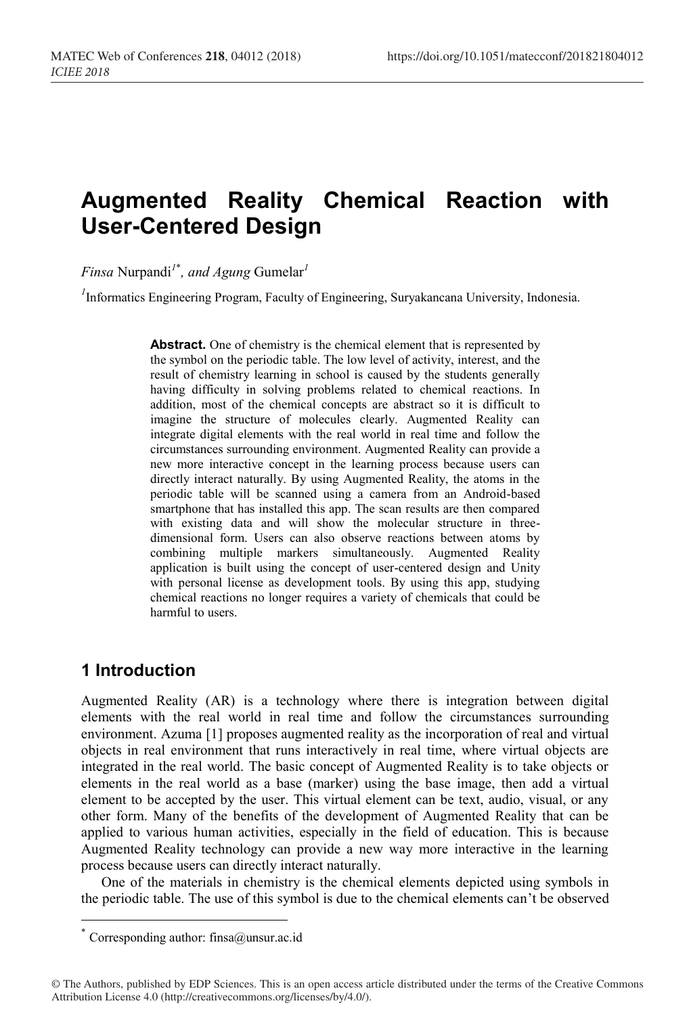# **Augmented Reality Chemical Reaction with User-Centered Design**

*Finsa* Nurpandi*<sup>1</sup>*\* *, and Agung* Gumelar*<sup>1</sup>*

*1* Informatics Engineering Program, Faculty of Engineering, Suryakancana University, Indonesia.

**Abstract.** One of chemistry is the chemical element that is represented by the symbol on the periodic table. The low level of activity, interest, and the result of chemistry learning in school is caused by the students generally having difficulty in solving problems related to chemical reactions. In addition, most of the chemical concepts are abstract so it is difficult to imagine the structure of molecules clearly. Augmented Reality can integrate digital elements with the real world in real time and follow the circumstances surrounding environment. Augmented Reality can provide a new more interactive concept in the learning process because users can directly interact naturally. By using Augmented Reality, the atoms in the periodic table will be scanned using a camera from an Android-based smartphone that has installed this app. The scan results are then compared with existing data and will show the molecular structure in threedimensional form. Users can also observe reactions between atoms by combining multiple markers simultaneously. Augmented Reality application is built using the concept of user-centered design and Unity with personal license as development tools. By using this app, studying chemical reactions no longer requires a variety of chemicals that could be harmful to users.

## **1 Introduction**

Augmented Reality (AR) is a technology where there is integration between digital elements with the real world in real time and follow the circumstances surrounding environment. Azuma [1] proposes augmented reality as the incorporation of real and virtual objects in real environment that runs interactively in real time, where virtual objects are integrated in the real world. The basic concept of Augmented Reality is to take objects or elements in the real world as a base (marker) using the base image, then add a virtual element to be accepted by the user. This virtual element can be text, audio, visual, or any other form. Many of the benefits of the development of Augmented Reality that can be applied to various human activities, especially in the field of education. This is because Augmented Reality technology can provide a new way more interactive in the learning process because users can directly interact naturally.

One of the materials in chemistry is the chemical elements depicted using symbols in the periodic table. The use of this symbol is due to the chemical elements can't be observed

<sup>\*</sup> Corresponding author: finsa@unsur.ac.id

<sup>©</sup> The Authors, published by EDP Sciences. This is an open access article distributed under the terms of the Creative Commons Attribution License 4.0 (http://creativecommons.org/licenses/by/4.0/).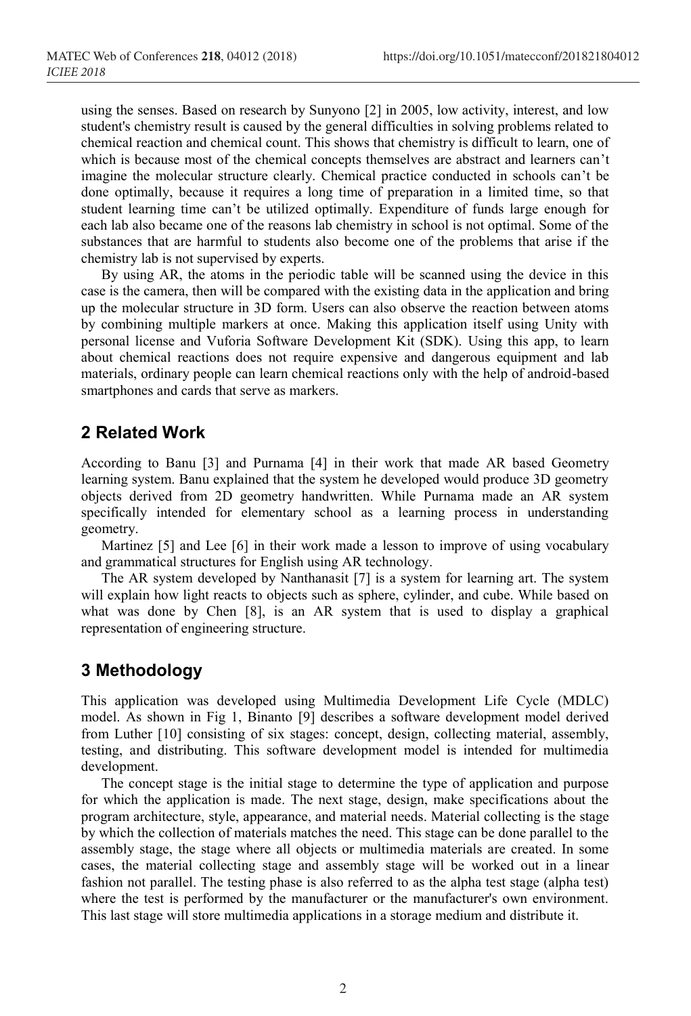using the senses. Based on research by Sunyono [2] in 2005, low activity, interest, and low student's chemistry result is caused by the general difficulties in solving problems related to chemical reaction and chemical count. This shows that chemistry is difficult to learn, one of which is because most of the chemical concepts themselves are abstract and learners can't imagine the molecular structure clearly. Chemical practice conducted in schools can't be done optimally, because it requires a long time of preparation in a limited time, so that student learning time can't be utilized optimally. Expenditure of funds large enough for each lab also became one of the reasons lab chemistry in school is not optimal. Some of the substances that are harmful to students also become one of the problems that arise if the chemistry lab is not supervised by experts.

By using AR, the atoms in the periodic table will be scanned using the device in this case is the camera, then will be compared with the existing data in the application and bring up the molecular structure in 3D form. Users can also observe the reaction between atoms by combining multiple markers at once. Making this application itself using Unity with personal license and Vuforia Software Development Kit (SDK). Using this app, to learn about chemical reactions does not require expensive and dangerous equipment and lab materials, ordinary people can learn chemical reactions only with the help of android-based smartphones and cards that serve as markers.

### **2 Related Work**

According to Banu [3] and Purnama [4] in their work that made AR based Geometry learning system. Banu explained that the system he developed would produce 3D geometry objects derived from 2D geometry handwritten. While Purnama made an AR system specifically intended for elementary school as a learning process in understanding geometry.

Martinez [5] and Lee [6] in their work made a lesson to improve of using vocabulary and grammatical structures for English using AR technology.

The AR system developed by Nanthanasit [7] is a system for learning art. The system will explain how light reacts to objects such as sphere, cylinder, and cube. While based on what was done by Chen [8], is an AR system that is used to display a graphical representation of engineering structure.

#### **3 Methodology**

This application was developed using Multimedia Development Life Cycle (MDLC) model. As shown in Fig 1, Binanto [9] describes a software development model derived from Luther [10] consisting of six stages: concept, design, collecting material, assembly, testing, and distributing. This software development model is intended for multimedia development.

The concept stage is the initial stage to determine the type of application and purpose for which the application is made. The next stage, design, make specifications about the program architecture, style, appearance, and material needs. Material collecting is the stage by which the collection of materials matches the need. This stage can be done parallel to the assembly stage, the stage where all objects or multimedia materials are created. In some cases, the material collecting stage and assembly stage will be worked out in a linear fashion not parallel. The testing phase is also referred to as the alpha test stage (alpha test) where the test is performed by the manufacturer or the manufacturer's own environment. This last stage will store multimedia applications in a storage medium and distribute it.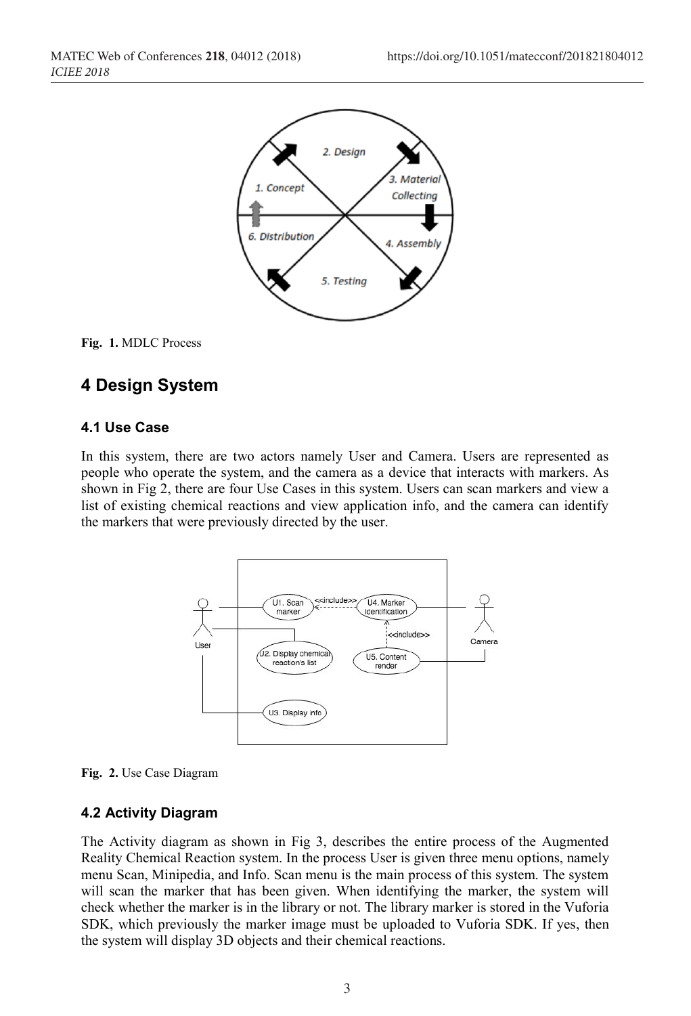

#### **Fig. 1.** MDLC Process

## **4 Design System**

#### **4.1 Use Case**

In this system, there are two actors namely User and Camera. Users are represented as people who operate the system, and the camera as a device that interacts with markers. As shown in Fig 2, there are four Use Cases in this system. Users can scan markers and view a list of existing chemical reactions and view application info, and the camera can identify the markers that were previously directed by the user.





#### **4.2 Activity Diagram**

The Activity diagram as shown in Fig 3, describes the entire process of the Augmented Reality Chemical Reaction system. In the process User is given three menu options, namely menu Scan, Minipedia, and Info. Scan menu is the main process of this system. The system will scan the marker that has been given. When identifying the marker, the system will check whether the marker is in the library or not. The library marker is stored in the Vuforia SDK, which previously the marker image must be uploaded to Vuforia SDK. If yes, then the system will display 3D objects and their chemical reactions.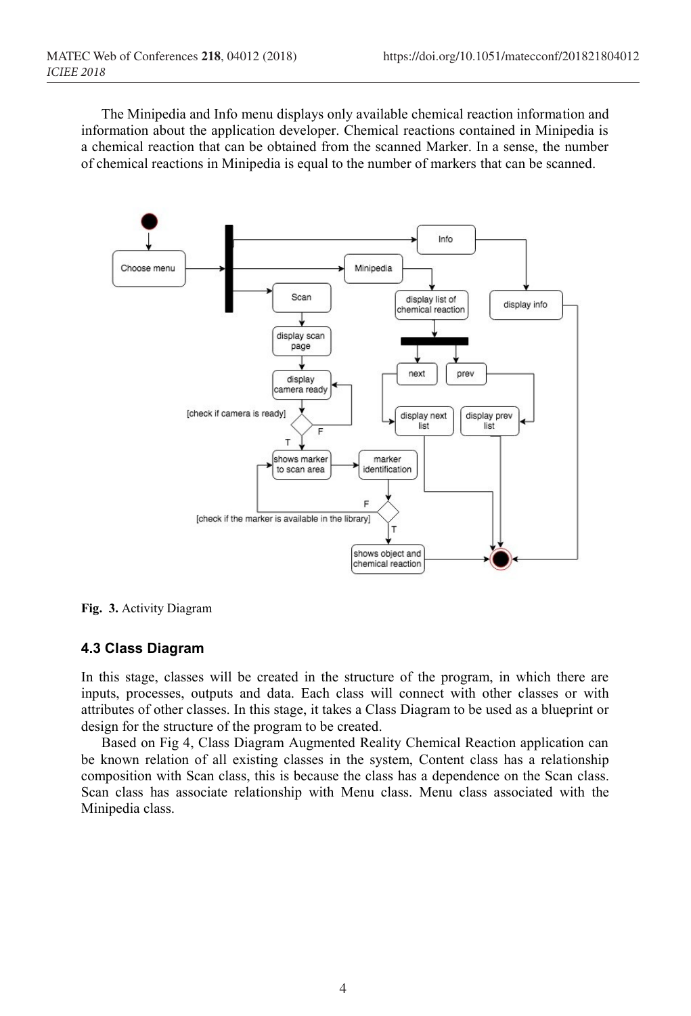The Minipedia and Info menu displays only available chemical reaction information and information about the application developer. Chemical reactions contained in Minipedia is a chemical reaction that can be obtained from the scanned Marker. In a sense, the number of chemical reactions in Minipedia is equal to the number of markers that can be scanned.



**Fig. 3.** Activity Diagram

#### **4.3 Class Diagram**

In this stage, classes will be created in the structure of the program, in which there are inputs, processes, outputs and data. Each class will connect with other classes or with attributes of other classes. In this stage, it takes a Class Diagram to be used as a blueprint or design for the structure of the program to be created.

Based on Fig 4, Class Diagram Augmented Reality Chemical Reaction application can be known relation of all existing classes in the system, Content class has a relationship composition with Scan class, this is because the class has a dependence on the Scan class. Scan class has associate relationship with Menu class. Menu class associated with the Minipedia class.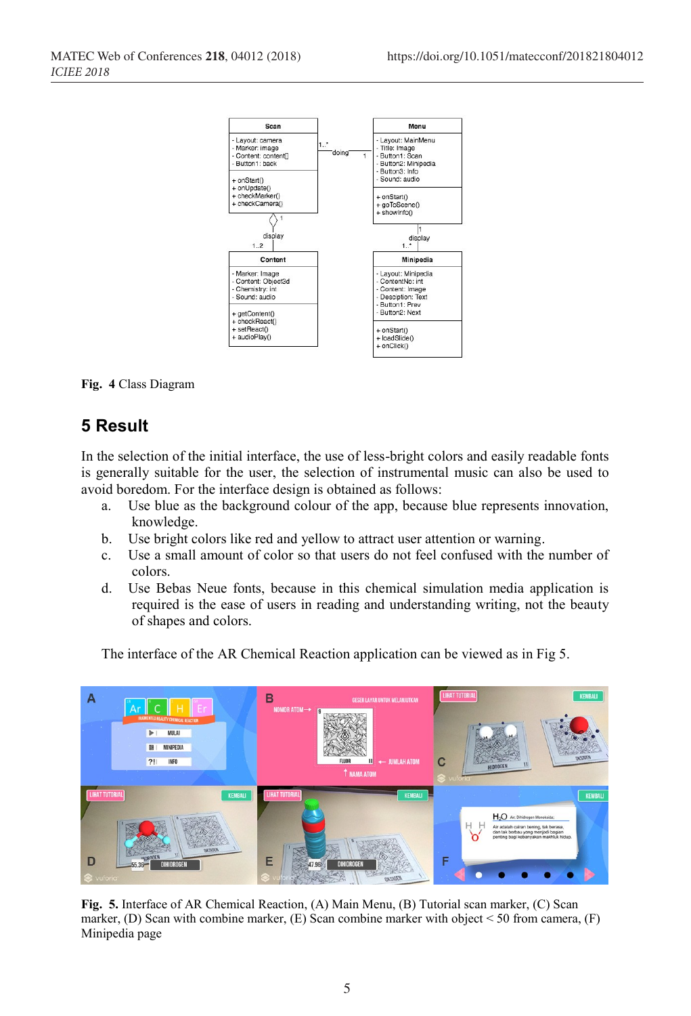



## **5 Result**

In the selection of the initial interface, the use of less-bright colors and easily readable fonts is generally suitable for the user, the selection of instrumental music can also be used to avoid boredom. For the interface design is obtained as follows:

- a. Use blue as the background colour of the app, because blue represents innovation, knowledge.
- b. Use bright colors like red and yellow to attract user attention or warning.
- c. Use a small amount of color so that users do not feel confused with the number of colors.
- d. Use Bebas Neue fonts, because in this chemical simulation media application is required is the ease of users in reading and understanding writing, not the beauty of shapes and colors.

The interface of the AR Chemical Reaction application can be viewed as in Fig 5.



**Fig. 5.** Interface of AR Chemical Reaction, (A) Main Menu, (B) Tutorial scan marker, (C) Scan marker, (D) Scan with combine marker,  $(E)$  Scan combine marker with object  $\leq 50$  from camera,  $(F)$ Minipedia page